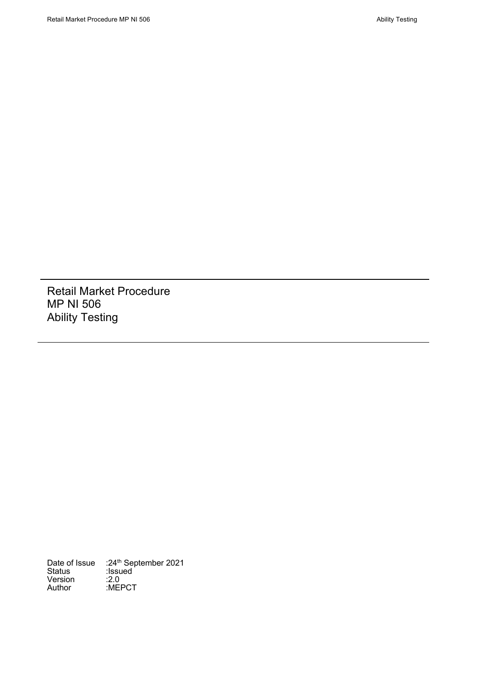Retail Market Procedure MP NI 506 Ability Testing

Date of Issue :24<sup>th</sup> September 2021 Status :Issued Udition<br>Version<br>Author :MEPCT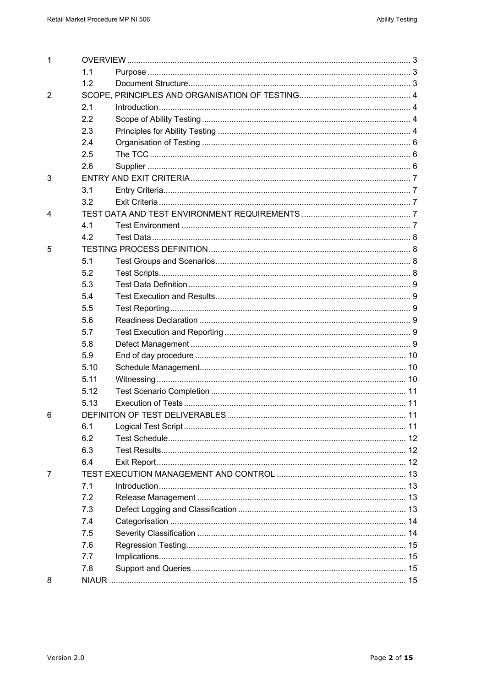| $\mathbf 1$    |      |  |  |
|----------------|------|--|--|
|                | 1.1  |  |  |
|                | 1.2  |  |  |
| $\overline{2}$ |      |  |  |
|                | 2.1  |  |  |
|                | 2.2  |  |  |
|                | 2.3  |  |  |
|                | 2.4  |  |  |
|                | 2.5  |  |  |
|                | 2.6  |  |  |
| 3              |      |  |  |
|                | 3.1  |  |  |
|                | 3.2  |  |  |
| 4              |      |  |  |
|                | 4.1  |  |  |
|                | 4.2  |  |  |
| 5              |      |  |  |
|                | 5.1  |  |  |
|                | 5.2  |  |  |
|                | 5.3  |  |  |
|                | 5.4  |  |  |
|                | 5.5  |  |  |
|                | 5.6  |  |  |
|                | 5.7  |  |  |
|                | 5.8  |  |  |
|                | 5.9  |  |  |
|                | 5.10 |  |  |
|                | 5.11 |  |  |
|                | 5.12 |  |  |
|                | 5.13 |  |  |
| 6              |      |  |  |
|                | 6.1  |  |  |
|                | 6.2  |  |  |
|                | 6.3  |  |  |
|                | 6.4  |  |  |
| 7              |      |  |  |
|                | 7.1  |  |  |
|                | 7.2  |  |  |
|                | 7.3  |  |  |
|                | 7.4  |  |  |
|                | 7.5  |  |  |
|                | 7.6  |  |  |
|                | 7.7  |  |  |
|                | 7.8  |  |  |
| 8              |      |  |  |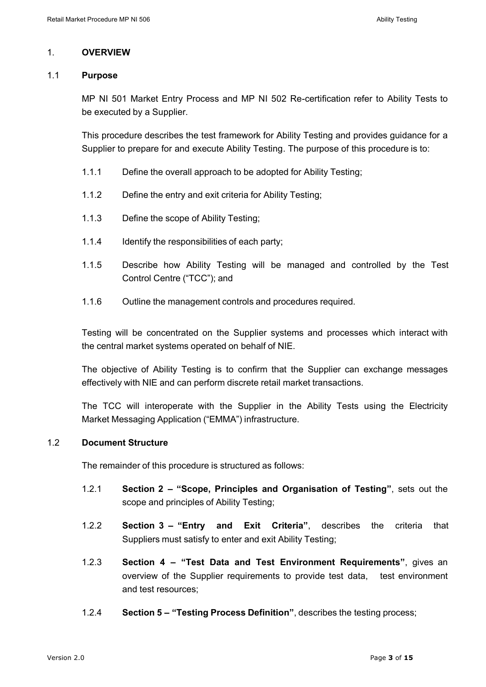#### 1. **OVERVIEW**

#### 1.1 **Purpose**

MP NI 501 Market Entry Process and MP NI 502 Re-certification refer to Ability Tests to be executed by a Supplier.

This procedure describes the test framework for Ability Testing and provides guidance for a Supplier to prepare for and execute Ability Testing. The purpose of this procedure is to:

- 1.1.1 Define the overall approach to be adopted for Ability Testing;
- 1.1.2 Define the entry and exit criteria for Ability Testing;
- 1.1.3 Define the scope of Ability Testing;
- 1.1.4 Identify the responsibilities of each party;
- 1.1.5 Describe how Ability Testing will be managed and controlled by the Test Control Centre ("TCC"); and
- 1.1.6 Outline the management controls and procedures required.

Testing will be concentrated on the Supplier systems and processes which interact with the central market systems operated on behalf of NIE.

The objective of Ability Testing is to confirm that the Supplier can exchange messages effectively with NIE and can perform discrete retail market transactions.

The TCC will interoperate with the Supplier in the Ability Tests using the Electricity Market Messaging Application ("EMMA") infrastructure.

### 1.2 **Document Structure**

The remainder of this procedure is structured as follows:

- 1.2.1 **Section 2 – "Scope, Principles and Organisation of Testing"**, sets out the scope and principles of Ability Testing;
- 1.2.2 **Section 3 – "Entry and Exit Criteria"**, describes the criteria that Suppliers must satisfy to enter and exit Ability Testing;
- 1.2.3 **Section 4 – "Test Data and Test Environment Requirements"**, gives an overview of the Supplier requirements to provide test data, test environment and test resources;
- 1.2.4 **Section 5 – "Testing Process Definition"**, describes the testing process;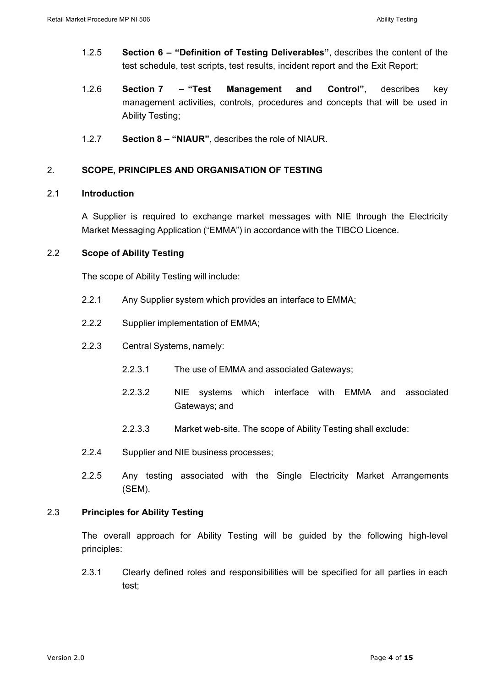- 1.2.5 **Section 6 – "Definition of Testing Deliverables"**, describes the content of the test schedule, test scripts, test results, incident report and the Exit Report;
- 1.2.6 **Section 7 – "Test Management and Control"**, describes key management activities, controls, procedures and concepts that will be used in Ability Testing;
- 1.2.7 **Section 8 – "NIAUR"**, describes the role of NIAUR.

### 2. **SCOPE, PRINCIPLES AND ORGANISATION OF TESTING**

#### 2.1 **Introduction**

A Supplier is required to exchange market messages with NIE through the Electricity Market Messaging Application ("EMMA") in accordance with the TIBCO Licence.

### 2.2 **Scope of Ability Testing**

The scope of Ability Testing will include:

- 2.2.1 Any Supplier system which provides an interface to EMMA;
- 2.2.2 Supplier implementation of EMMA;
- 2.2.3 Central Systems, namely:
	- 2.2.3.1 The use of EMMA and associated Gateways;
	- 2.2.3.2 NIE systems which interface with EMMA and associated Gateways; and
	- 2.2.3.3 Market web-site. The scope of Ability Testing shall exclude:
- 2.2.4 Supplier and NIE business processes;
- 2.2.5 Any testing associated with the Single Electricity Market Arrangements (SEM).

### 2.3 **Principles for Ability Testing**

The overall approach for Ability Testing will be guided by the following high-level principles:

2.3.1 Clearly defined roles and responsibilities will be specified for all parties in each test;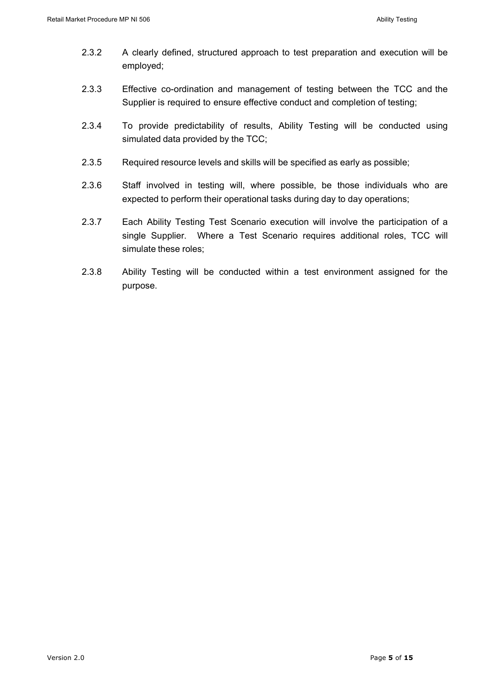- 2.3.2 A clearly defined, structured approach to test preparation and execution will be employed;
- 2.3.3 Effective co-ordination and management of testing between the TCC and the Supplier is required to ensure effective conduct and completion of testing;
- 2.3.4 To provide predictability of results, Ability Testing will be conducted using simulated data provided by the TCC;
- 2.3.5 Required resource levels and skills will be specified as early as possible;
- 2.3.6 Staff involved in testing will, where possible, be those individuals who are expected to perform their operational tasks during day to day operations;
- 2.3.7 Each Ability Testing Test Scenario execution will involve the participation of a single Supplier. Where a Test Scenario requires additional roles, TCC will simulate these roles;
- 2.3.8 Ability Testing will be conducted within a test environment assigned for the purpose.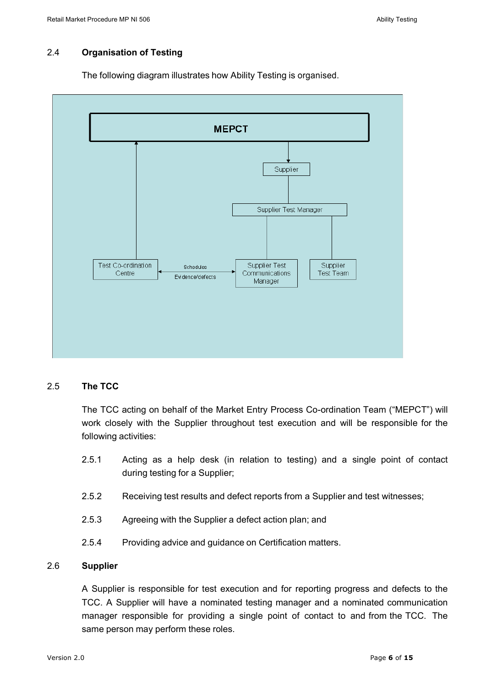# 2.4 **Organisation of Testing**

The following diagram illustrates how Ability Testing is organised.



### 2.5 **The TCC**

The TCC acting on behalf of the Market Entry Process Co-ordination Team ("MEPCT") will work closely with the Supplier throughout test execution and will be responsible for the following activities:

- 2.5.1 Acting as a help desk (in relation to testing) and a single point of contact during testing for a Supplier;
- 2.5.2 Receiving test results and defect reports from a Supplier and test witnesses;
- 2.5.3 Agreeing with the Supplier a defect action plan; and
- 2.5.4 Providing advice and guidance on Certification matters.

### 2.6 **Supplier**

A Supplier is responsible for test execution and for reporting progress and defects to the TCC. A Supplier will have a nominated testing manager and a nominated communication manager responsible for providing a single point of contact to and from the TCC. The same person may perform these roles.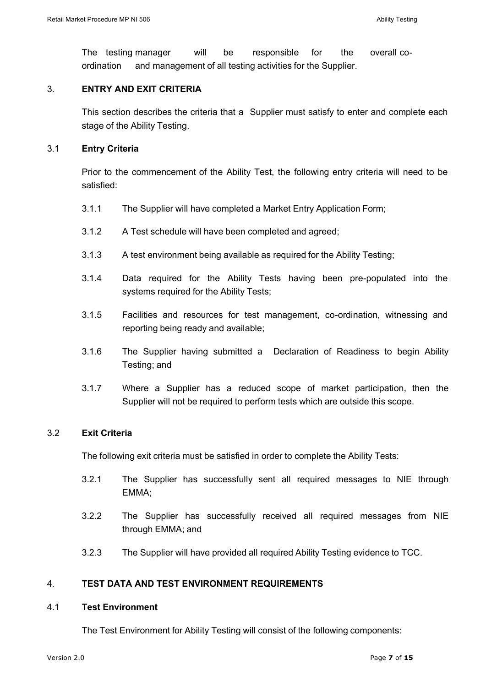The testing manager will be responsible for the overall coordination and management of all testing activities for the Supplier.

## 3. **ENTRY AND EXIT CRITERIA**

This section describes the criteria that a Supplier must satisfy to enter and complete each stage of the Ability Testing.

#### 3.1 **Entry Criteria**

Prior to the commencement of the Ability Test, the following entry criteria will need to be satisfied:

- 3.1.1 The Supplier will have completed a Market Entry Application Form;
- 3.1.2 A Test schedule will have been completed and agreed;
- 3.1.3 A test environment being available as required for the Ability Testing;
- 3.1.4 Data required for the Ability Tests having been pre-populated into the systems required for the Ability Tests;
- 3.1.5 Facilities and resources for test management, co-ordination, witnessing and reporting being ready and available;
- 3.1.6 The Supplier having submitted a Declaration of Readiness to begin Ability Testing; and
- 3.1.7 Where a Supplier has a reduced scope of market participation, then the Supplier will not be required to perform tests which are outside this scope.

### 3.2 **Exit Criteria**

The following exit criteria must be satisfied in order to complete the Ability Tests:

- 3.2.1 The Supplier has successfully sent all required messages to NIE through EMMA;
- 3.2.2 The Supplier has successfully received all required messages from NIE through EMMA; and
- 3.2.3 The Supplier will have provided all required Ability Testing evidence to TCC.

## 4. **TEST DATA AND TEST ENVIRONMENT REQUIREMENTS**

#### 4.1 **Test Environment**

The Test Environment for Ability Testing will consist of the following components: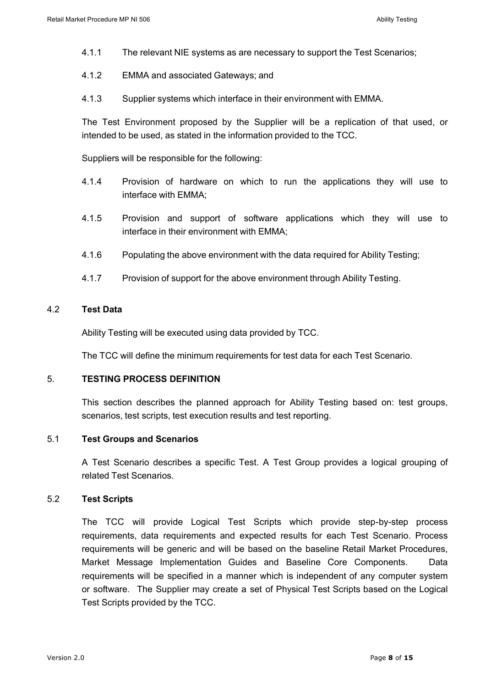- 4.1.1 The relevant NIE systems as are necessary to support the Test Scenarios;
- 4.1.2 EMMA and associated Gateways; and
- 4.1.3 Supplier systems which interface in their environment with EMMA.

The Test Environment proposed by the Supplier will be a replication of that used, or intended to be used, as stated in the information provided to the TCC.

Suppliers will be responsible for the following:

- 4.1.4 Provision of hardware on which to run the applications they will use to interface with EMMA;
- 4.1.5 Provision and support of software applications which they will use to interface in their environment with EMMA;
- 4.1.6 Populating the above environment with the data required for Ability Testing;
- 4.1.7 Provision of support for the above environment through Ability Testing.

### 4.2 **Test Data**

Ability Testing will be executed using data provided by TCC.

The TCC will define the minimum requirements for test data for each Test Scenario.

#### 5. **TESTING PROCESS DEFINITION**

This section describes the planned approach for Ability Testing based on: test groups, scenarios, test scripts, test execution results and test reporting.

#### 5.1 **Test Groups and Scenarios**

A Test Scenario describes a specific Test. A Test Group provides a logical grouping of related Test Scenarios.

## 5.2 **Test Scripts**

The TCC will provide Logical Test Scripts which provide step-by-step process requirements, data requirements and expected results for each Test Scenario. Process requirements will be generic and will be based on the baseline Retail Market Procedures, Market Message Implementation Guides and Baseline Core Components. Data requirements will be specified in a manner which is independent of any computer system or software. The Supplier may create a set of Physical Test Scripts based on the Logical Test Scripts provided by the TCC.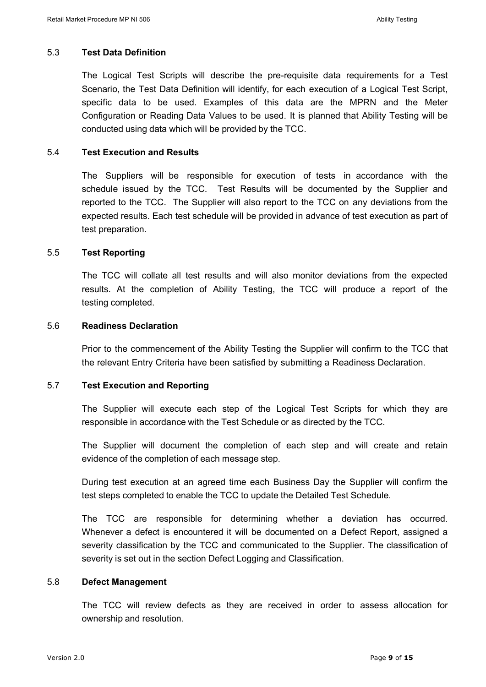## 5.3 **Test Data Definition**

The Logical Test Scripts will describe the pre-requisite data requirements for a Test Scenario, the Test Data Definition will identify, for each execution of a Logical Test Script, specific data to be used. Examples of this data are the MPRN and the Meter Configuration or Reading Data Values to be used. It is planned that Ability Testing will be conducted using data which will be provided by the TCC.

## 5.4 **Test Execution and Results**

The Suppliers will be responsible for execution of tests in accordance with the schedule issued by the TCC. Test Results will be documented by the Supplier and reported to the TCC. The Supplier will also report to the TCC on any deviations from the expected results. Each test schedule will be provided in advance of test execution as part of test preparation.

## 5.5 **Test Reporting**

The TCC will collate all test results and will also monitor deviations from the expected results. At the completion of Ability Testing, the TCC will produce a report of the testing completed.

### 5.6 **Readiness Declaration**

Prior to the commencement of the Ability Testing the Supplier will confirm to the TCC that the relevant Entry Criteria have been satisfied by submitting a Readiness Declaration.

### 5.7 **Test Execution and Reporting**

The Supplier will execute each step of the Logical Test Scripts for which they are responsible in accordance with the Test Schedule or as directed by the TCC.

The Supplier will document the completion of each step and will create and retain evidence of the completion of each message step.

During test execution at an agreed time each Business Day the Supplier will confirm the test steps completed to enable the TCC to update the Detailed Test Schedule.

The TCC are responsible for determining whether a deviation has occurred. Whenever a defect is encountered it will be documented on a Defect Report, assigned a severity classification by the TCC and communicated to the Supplier. The classification of severity is set out in the section Defect Logging and Classification.

### 5.8 **Defect Management**

The TCC will review defects as they are received in order to assess allocation for ownership and resolution.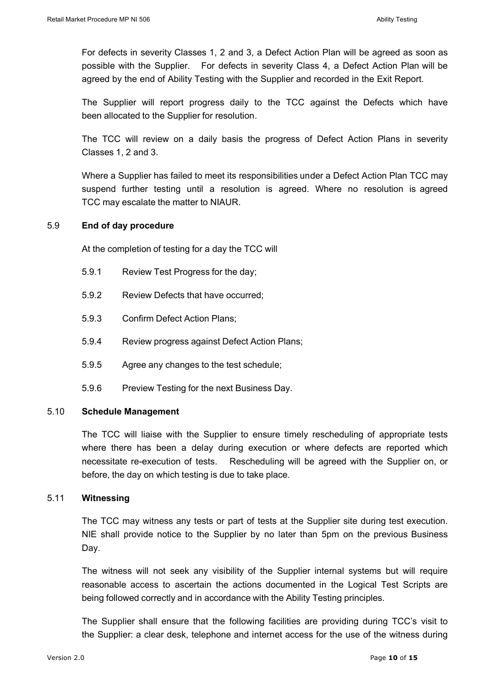For defects in severity Classes 1, 2 and 3, a Defect Action Plan will be agreed as soon as possible with the Supplier. For defects in severity Class 4, a Defect Action Plan will be agreed by the end of Ability Testing with the Supplier and recorded in the Exit Report.

The Supplier will report progress daily to the TCC against the Defects which have been allocated to the Supplier for resolution.

The TCC will review on a daily basis the progress of Defect Action Plans in severity Classes 1, 2 and 3.

Where a Supplier has failed to meet its responsibilities under a Defect Action Plan TCC may suspend further testing until a resolution is agreed. Where no resolution is agreed TCC may escalate the matter to NIAUR.

## 5.9 **End of day procedure**

At the completion of testing for a day the TCC will

- 5.9.1 Review Test Progress for the day;
- 5.9.2 Review Defects that have occurred;
- 5.9.3 Confirm Defect Action Plans;
- 5.9.4 Review progress against Defect Action Plans;
- 5.9.5 Agree any changes to the test schedule;
- 5.9.6 Preview Testing for the next Business Day.

### 5.10 **Schedule Management**

The TCC will liaise with the Supplier to ensure timely rescheduling of appropriate tests where there has been a delay during execution or where defects are reported which necessitate re-execution of tests. Rescheduling will be agreed with the Supplier on, or before, the day on which testing is due to take place.

### 5.11 **Witnessing**

The TCC may witness any tests or part of tests at the Supplier site during test execution. NIE shall provide notice to the Supplier by no later than 5pm on the previous Business Day.

The witness will not seek any visibility of the Supplier internal systems but will require reasonable access to ascertain the actions documented in the Logical Test Scripts are being followed correctly and in accordance with the Ability Testing principles.

The Supplier shall ensure that the following facilities are providing during TCC's visit to the Supplier: a clear desk, telephone and internet access for the use of the witness during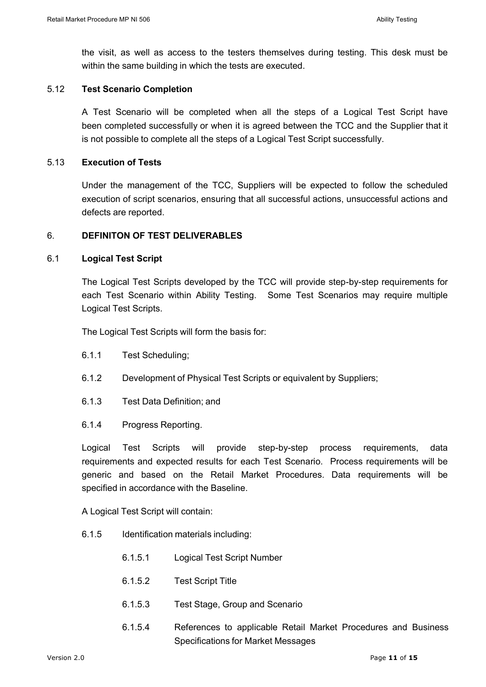the visit, as well as access to the testers themselves during testing. This desk must be within the same building in which the tests are executed.

#### 5.12 **Test Scenario Completion**

A Test Scenario will be completed when all the steps of a Logical Test Script have been completed successfully or when it is agreed between the TCC and the Supplier that it is not possible to complete all the steps of a Logical Test Script successfully.

#### 5.13 **Execution of Tests**

Under the management of the TCC, Suppliers will be expected to follow the scheduled execution of script scenarios, ensuring that all successful actions, unsuccessful actions and defects are reported.

#### 6. **DEFINITON OF TEST DELIVERABLES**

#### 6.1 **Logical Test Script**

The Logical Test Scripts developed by the TCC will provide step-by-step requirements for each Test Scenario within Ability Testing. Some Test Scenarios may require multiple Logical Test Scripts.

The Logical Test Scripts will form the basis for:

- 6.1.1 Test Scheduling;
- 6.1.2 Development of Physical Test Scripts or equivalent by Suppliers;
- 6.1.3 Test Data Definition; and
- 6.1.4 Progress Reporting.

Logical Test Scripts will provide step-by-step process requirements, data requirements and expected results for each Test Scenario. Process requirements will be generic and based on the Retail Market Procedures. Data requirements will be specified in accordance with the Baseline.

A Logical Test Script will contain:

- 6.1.5 Identification materials including:
	- 6.1.5.1 Logical Test Script Number
	- 6.1.5.2 Test Script Title
	- 6.1.5.3 Test Stage, Group and Scenario
	- 6.1.5.4 References to applicable Retail Market Procedures and Business Specifications for Market Messages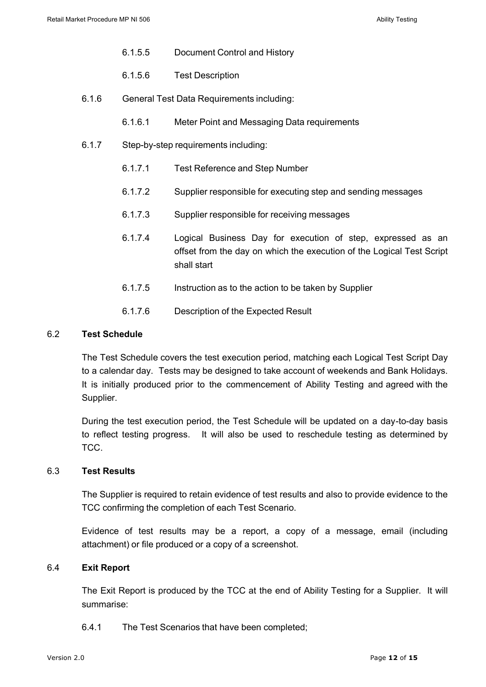- 6.1.5.5 Document Control and History
- 6.1.5.6 Test Description
- 6.1.6 General Test Data Requirements including:
	- 6.1.6.1 Meter Point and Messaging Data requirements
- 6.1.7 Step-by-step requirements including:
	- 6.1.7.1 Test Reference and Step Number
	- 6.1.7.2 Supplier responsible for executing step and sending messages
	- 6.1.7.3 Supplier responsible for receiving messages
	- 6.1.7.4 Logical Business Day for execution of step, expressed as an offset from the day on which the execution of the Logical Test Script shall start
	- 6.1.7.5 Instruction as to the action to be taken by Supplier
	- 6.1.7.6 Description of the Expected Result

## 6.2 **Test Schedule**

The Test Schedule covers the test execution period, matching each Logical Test Script Day to a calendar day. Tests may be designed to take account of weekends and Bank Holidays. It is initially produced prior to the commencement of Ability Testing and agreed with the Supplier.

During the test execution period, the Test Schedule will be updated on a day-to-day basis to reflect testing progress. It will also be used to reschedule testing as determined by TCC.

### 6.3 **Test Results**

The Supplier is required to retain evidence of test results and also to provide evidence to the TCC confirming the completion of each Test Scenario.

Evidence of test results may be a report, a copy of a message, email (including attachment) or file produced or a copy of a screenshot.

### 6.4 **Exit Report**

The Exit Report is produced by the TCC at the end of Ability Testing for a Supplier. It will summarise:

6.4.1 The Test Scenarios that have been completed;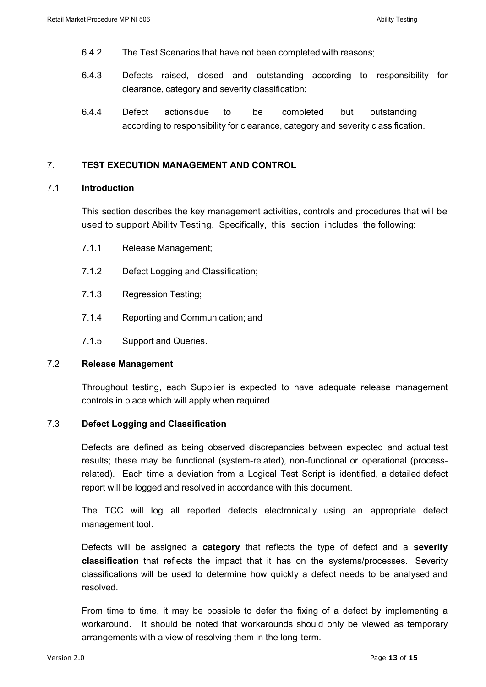- 6.4.2 The Test Scenarios that have not been completed with reasons;
- 6.4.3 Defects raised, closed and outstanding according to responsibility for clearance, category and severity classification;
- 6.4.4 Defect actionsdue to be completed but outstanding according to responsibility for clearance, category and severity classification.

#### 7. **TEST EXECUTION MANAGEMENT AND CONTROL**

#### 7.1 **Introduction**

This section describes the key management activities, controls and procedures that will be used to support Ability Testing. Specifically, this section includes the following:

- 7.1.1 Release Management;
- 7.1.2 Defect Logging and Classification;
- 7.1.3 Regression Testing;
- 7.1.4 Reporting and Communication; and
- 7.1.5 Support and Queries.

#### 7.2 **Release Management**

Throughout testing, each Supplier is expected to have adequate release management controls in place which will apply when required.

#### 7.3 **Defect Logging and Classification**

Defects are defined as being observed discrepancies between expected and actual test results; these may be functional (system-related), non-functional or operational (processrelated). Each time a deviation from a Logical Test Script is identified, a detailed defect report will be logged and resolved in accordance with this document.

The TCC will log all reported defects electronically using an appropriate defect management tool.

Defects will be assigned a **category** that reflects the type of defect and a **severity classification** that reflects the impact that it has on the systems/processes. Severity classifications will be used to determine how quickly a defect needs to be analysed and resolved.

From time to time, it may be possible to defer the fixing of a defect by implementing a workaround. It should be noted that workarounds should only be viewed as temporary arrangements with a view of resolving them in the long-term.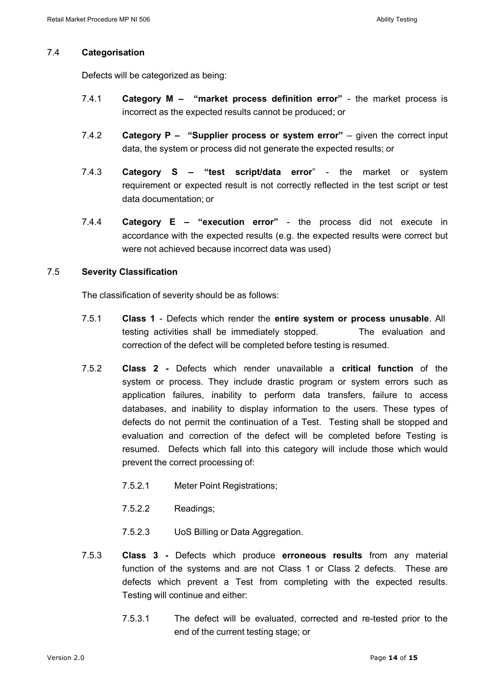### 7.4 **Categorisation**

Defects will be categorized as being:

- 7.4.1 **Category M – "market process definition error"** the market process is incorrect as the expected results cannot be produced; or
- 7.4.2 **Category P – "Supplier process or system error"** given the correct input data, the system or process did not generate the expected results; or
- 7.4.3 **Category S – "test script/data error**" the market or system requirement or expected result is not correctly reflected in the test script or test data documentation; or
- 7.4.4 **Category E – "execution error"**  the process did not execute in accordance with the expected results (e.g. the expected results were correct but were not achieved because incorrect data was used)

### 7.5 **Severity Classification**

The classification of severity should be as follows:

- 7.5.1 **Class 1** Defects which render the **entire system or process unusable**. All testing activities shall be immediately stopped. The evaluation and correction of the defect will be completed before testing is resumed.
- 7.5.2 **Class 2 -** Defects which render unavailable a **critical function** of the system or process. They include drastic program or system errors such as application failures, inability to perform data transfers, failure to access databases, and inability to display information to the users. These types of defects do not permit the continuation of a Test. Testing shall be stopped and evaluation and correction of the defect will be completed before Testing is resumed. Defects which fall into this category will include those which would prevent the correct processing of:
	- 7.5.2.1 Meter Point Registrations;
	- 7.5.2.2 Readings;
	- 7.5.2.3 UoS Billing or Data Aggregation.
- 7.5.3 **Class 3 -** Defects which produce **erroneous results** from any material function of the systems and are not Class 1 or Class 2 defects. These are defects which prevent a Test from completing with the expected results. Testing will continue and either:
	- 7.5.3.1 The defect will be evaluated, corrected and re-tested prior to the end of the current testing stage; or